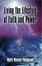# Living the Lifestyle of Faith and Power

# **Mark Wesley Thompson**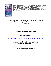

*Many of God's people do not know how to live by faith. But, this book will change that. From this book, you will learn: exercises that unleash your faith, how to use different types of prayer, how to fight against demonic influence, a balanced theology concerning the walk of faith, the difference between power and authority,*  God's way of manifesting his promises, and how to create your own personal *promises resource.*

# **Living the Lifestyle of Faith and Power**

# **Order the complete book from**

## **Booklocker.com**

http://www.booklocker.com/p/books/8120.html?s=pdf

#### **or from your favorite neighborhood or online bookstore.**

**Your free excerpt appears below. Enjoy!**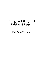# **Living the Lifestyle of Faith and Power**

Mark Wesley Thompson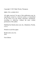Copyright © 2015 Mark Wesley Thompson

ISBN: 978-1-63490-529-9

All rights reserved. No part of this publication may be reproduced, stored in a retrieval system, or transmitted in any form or by any means, electronic, mechanical, recording or otherwise, without the prior written permission of the author.

Published by BookLocker.com, Inc., Bradenton, Florida,  $USA$ 

Printed on acid-free paper.

BookLocker.com, Inc. 2015

First Edition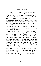#### **Faith Is a Lifestyle**

 Faith is a lifestyle. In other words, the effectiveness of your faith is determined by the way that you live. Many Christians come to God when a tragedy occurs, and they seek God from a position of desperation. But God's word should always have priority in our lives, in the good times and in the bad. We have to strengthen our inner man every day! So when the battle comes, we will be prepared. And, we face our circumstances from a position of faith, assurance, and power. In order to live a victorious life, we must live a lifestyle that is focused on God's word; we must continually hear God's word and be focused on his promises.

 To consistently receive from God, you have to consistently remain in fellowship with him and with his word. A Christian who lives a devotional life will see the promises of God manifested in his life. To abide in Christ means that we have a daily prayer life, and we take time to read God's word. **"If ye abide in me, and my words abide in you, ye shall ask what ye will, and it shall be done unto you. Herein is my Father glorified, that ye bear much fruit; so shall ye be my disciples." (John 15:7-8).** 

 The lifestyle of faith involves consistently hearing God's word. Listening to or speaking God's word produces faith. It also exercises the faith that we have. Not only do we need to read God's word devotionally, but we also need to meditate on scriptures that pertain to whatever problem we are facing. **"So then faith cometh**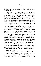#### **by hearing, and hearing by the word of God." (Romans 10:17).**

 The lifestyle of faith does not focus on the problem but on the solution. Any problem that you face is subject to the power of God. The spiritual, God's word, created the physical. God's word has power over everything! We do not deny the existence of "mountains" in our lives. But we realize that the spiritual reality of God's word is more powerful and real than any problem we have. Therefore, we focus on God's word and not on the situation. Abraham was given a promise that was naturally impossible. God promised to bless Abraham, who was 100 years old, with a son through his 90-yearold wife, Sarah. God taught him to focus on the promise and not on his own physical limitations. Because Abraham believed God, he saw the manifestation of God's promise. **"Who against hope believed in hope, that he might become the father of many nations, according to that which was spoken, So shall thy seed be. And being not weak in faith, he considered not his own body now dead, when he was about an hundred years old, neither yet the deadness of Sarah's womb: He staggered not at the promise of God through unbelief; but was strong in faith, giving glory to God; And being fully persuaded that, what he had promised, he was able also to perform." (Romans 4:18-21).** 

 Living a lifestyle of faith takes persistence, but it is not difficult. Every day should start and end with talking to God and meditating on his word. During the day if an issue arises, God's word concerning that issue should be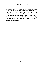spoken instead of worrying about the problem. Living a lifestyle of faith will assure your ultimate success in life. **"This book of the law shall not depart out of thy mouth; but thou shalt meditate therein day and night, that thou mayest observe to do according to all that is written therein: for then thou shalt make thy way prosperous, and then thou shalt have good success." (Joshua 1:8).**